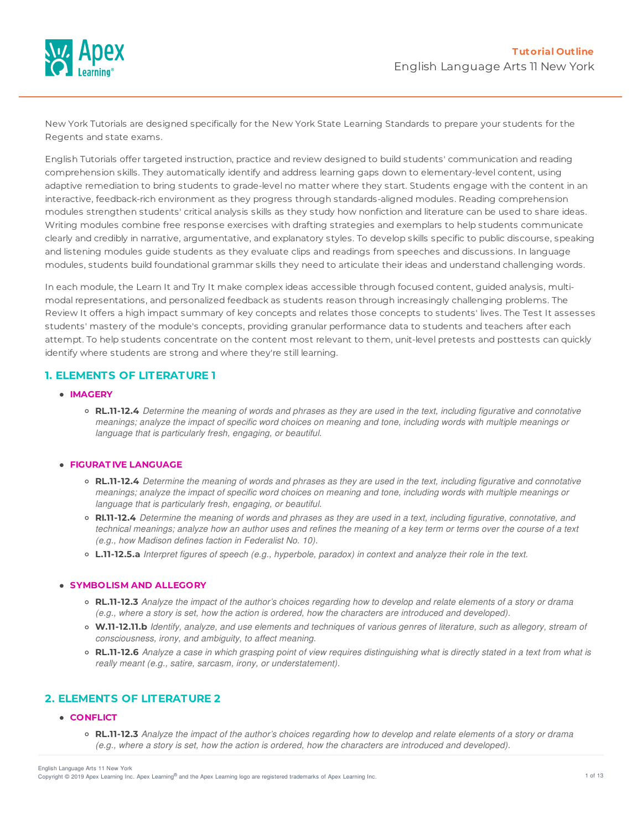

New York Tutorials are designed specifically for the New York State Learning Standards to prepare your students for the Regents and state exams.

English Tutorials offer targeted instruction, practice and review designed to build students' communication and reading comprehension skills. They automatically identify and address learning gaps down to elementary-level content, using adaptive remediation to bring students to grade-level no matter where they start. Students engage with the content in an interactive, feedback-rich environment as they progress through standards-aligned modules. Reading comprehension modules strengthen students' critical analysis skills as they study how nonfiction and literature can be used to share ideas. Writing modules combine free response exercises with drafting strategies and exemplars to help students communicate clearly and credibly in narrative, argumentative, and explanatory styles. To develop skills specific to public discourse, speaking and listening modules guide students as they evaluate clips and readings from speeches and discussions. In language modules, students build foundational grammar skills they need to articulate their ideas and understand challenging words.

In each module, the Learn It and Try It make complex ideas accessible through focused content, guided analysis, multimodal representations, and personalized feedback as students reason through increasingly challenging problems. The Review It offers a high impact summary of key concepts and relates those concepts to students' lives. The Test It assesses students' mastery of the module's concepts, providing granular performance data to students and teachers after each attempt. To help students concentrate on the content most relevant to them, unit-level pretests and posttests can quickly identify where students are strong and where they're still learning.

# **1. ELEMENTS OF LITERATURE 1**

- **IMAGERY**
	- o RL.11-12.4 Determine the meaning of words and phrases as they are used in the text, including figurative and connotative meanings; analyze the impact of specific word choices on meaning and tone, including words with multiple meanings or *language that is particularly fresh, engaging, or beautiful.*

### **FIGURAT IVE LANGUAGE**

- RL.11-12.4 Determine the meaning of words and phrases as they are used in the text, including figurative and connotative meanings; analyze the impact of specific word choices on meaning and tone, including words with multiple meanings or *language that is particularly fresh, engaging, or beautiful.*
- o RI.11-12.4 Determine the meaning of words and phrases as they are used in a text, including figurative, connotative, and technical meanings; analyze how an author uses and refines the meaning of a key term or terms over the course of a text *(e.g., how Madison defines faction in Federalist No. 10).*
- o L.11-12.5.a Interpret figures of speech (e.g., hyperbole, paradox) in context and analyze their role in the text.

#### **SYMBOLISM AND ALLEGORY**

- RL.11-12.3 Analyze the impact of the author's choices regarding how to develop and relate elements of a story or drama (e.g., where a story is set, how the action is ordered, how the characters are introduced and developed).
- o W.11-12.11.b Identify, analyze, and use elements and techniques of various genres of literature, such as allegory, stream of *consciousness, irony, and ambiguity, to affect meaning.*
- o RL.11-12.6 Analyze a case in which grasping point of view requires distinguishing what is directly stated in a text from what is *really meant (e.g., satire, sarcasm, irony, or understatement).*

## **2. ELEMENTS OF LITERATURE 2**

#### **CONFLICT**

• RL.11-12.3 Analyze the impact of the author's choices regarding how to develop and relate elements of a story or drama (e.g., where a story is set, how the action is ordered, how the characters are introduced and developed).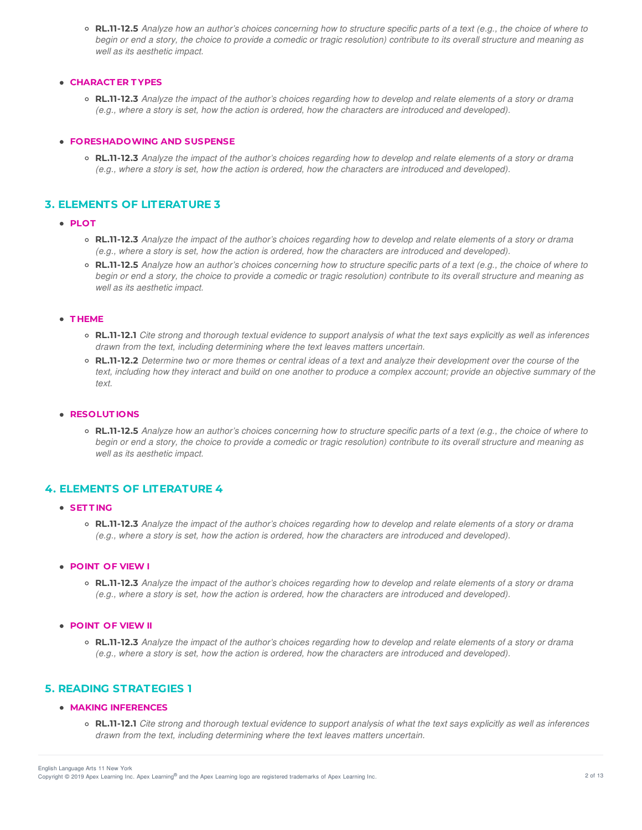$\circ$  RL.11-12.5 Analyze how an author's choices concerning how to structure specific parts of a text (e.g., the choice of where to begin or end a story, the choice to provide a comedic or tragic resolution) contribute to its overall structure and meaning as *well as its aesthetic impact.*

### **CHARACT ER T YPES**

• RL.11-12.3 Analyze the impact of the author's choices regarding how to develop and relate elements of a story or drama (e.g., where a story is set, how the action is ordered, how the characters are introduced and developed).

#### **FORESHADOWING AND SUSPENSE**

○ **RL.11-12.3** Analyze the impact of the author's choices regarding how to develop and relate elements of a story or drama (e.g., where a story is set, how the action is ordered, how the characters are introduced and developed).

## **3. ELEMENTS OF LITERATURE 3**

- **PLOT**
	- RL.11-12.3 Analyze the impact of the author's choices regarding how to develop and relate elements of a story or drama (e.g., where a story is set, how the action is ordered, how the characters are introduced and developed).
	- RL.11-12.5 Analyze how an author's choices concerning how to structure specific parts of a text (e.g., the choice of where to begin or end a story, the choice to provide a comedic or tragic resolution) contribute to its overall structure and meaning as *well as its aesthetic impact.*

#### **T HEME**

- o RL.11-12.1 Cite strong and thorough textual evidence to support analysis of what the text says explicitly as well as inferences *drawn from the text, including determining where the text leaves matters uncertain.*
- o RL.11-12.2 Determine two or more themes or central ideas of a text and analyze their development over the course of the text, including how they interact and build on one another to produce a complex account; provide an objective summary of the *text.*

### **RESOLUT IONS**

• RL.11-12.5 Analyze how an author's choices concerning how to structure specific parts of a text (e.g., the choice of where to begin or end a story, the choice to provide a comedic or tragic resolution) contribute to its overall structure and meaning as *well as its aesthetic impact.*

## **4. ELEMENTS OF LITERATURE 4**

### **SET T ING**

o RL.11-12.3 Analyze the impact of the author's choices regarding how to develop and relate elements of a story or drama (e.g., where a story is set, how the action is ordered, how the characters are introduced and developed).

### **POINT OF VIEW I**

o RL.11-12.3 Analyze the impact of the author's choices regarding how to develop and relate elements of a story or drama (e.g., where a story is set, how the action is ordered, how the characters are introduced and developed).

#### **POINT OF VIEW II**

○ **RL.11-12.3** Analyze the impact of the author's choices regarding how to develop and relate elements of a story or drama (e.g., where a story is set, how the action is ordered, how the characters are introduced and developed).

## **5. READING STRATEGIES 1**

#### **MAKING INFERENCES**

• RL.11-12.1 Cite strong and thorough textual evidence to support analysis of what the text says explicitly as well as inferences *drawn from the text, including determining where the text leaves matters uncertain.*

English Language Arts 11 New York

Copyright © 2019 Apex Learning Inc. Apex Learning® and the Apex Learning logo are registered trademarks of Apex Learning Inc. <br>Copyright © 2019 Apex Learning Inc. Apex Learning® and the Apex Learning Iogo are registered tr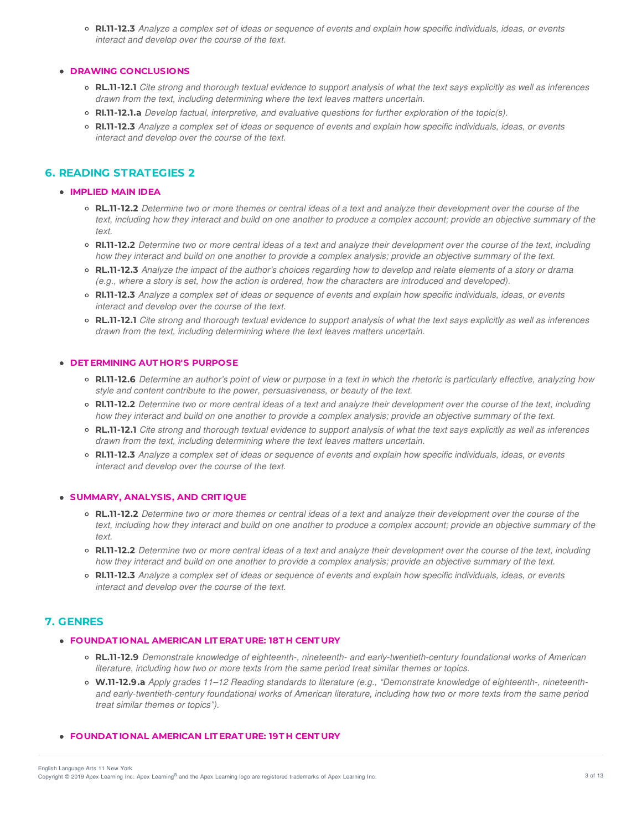o RI.11-12.3 Analyze a complex set of ideas or sequence of events and explain how specific individuals, ideas, or events *interact and develop over the course of the text.*

#### **DRAWING CONCLUSIONS**

- o RL.11-12.1 Cite strong and thorough textual evidence to support analysis of what the text says explicitly as well as inferences *drawn from the text, including determining where the text leaves matters uncertain.*
- **RI.11-12.1.a** *Develop factual, interpretive, and evaluative questions for further exploration of the topic(s).*
- o RI.11-12.3 Analyze a complex set of ideas or sequence of events and explain how specific individuals, ideas, or events *interact and develop over the course of the text.*

# **6. READING STRATEGIES 2**

#### **IMPLIED MAIN IDEA**

- o RL.11-12.2 Determine two or more themes or central ideas of a text and analyze their development over the course of the text, including how they interact and build on one another to produce a complex account; provide an objective summary of the *text.*
- RI.11-12.2 Determine two or more central ideas of a text and analyze their development over the course of the text, including how they interact and build on one another to provide a complex analysis; provide an objective summary of the text.
- RL.11-12.3 Analyze the impact of the author's choices regarding how to develop and relate elements of a story or drama (e.g., where a story is set, how the action is ordered, how the characters are introduced and developed).
- o RI.11-12.3 Analyze a complex set of ideas or sequence of events and explain how specific individuals, ideas, or events *interact and develop over the course of the text.*
- **RL.11-12.1** Cite strong and thorough textual evidence to support analysis of what the text says explicitly as well as inferences *drawn from the text, including determining where the text leaves matters uncertain.*

### **DET ERMINING AUT HOR'S PURPOSE**

- o RI.11-12.6 Determine an author's point of view or purpose in a text in which the rhetoric is particularly effective, analyzing how *style and content contribute to the power, persuasiveness, or beauty of the text.*
- o RI.11-12.2 Determine two or more central ideas of a text and analyze their development over the course of the text, including how they interact and build on one another to provide a complex analysis; provide an objective summary of the text.
- o RL.11-12.1 Cite strong and thorough textual evidence to support analysis of what the text says explicitly as well as inferences *drawn from the text, including determining where the text leaves matters uncertain.*
- o RI.11-12.3 Analyze a complex set of ideas or sequence of events and explain how specific individuals, ideas, or events *interact and develop over the course of the text.*

#### **SUMMARY, ANALYSIS, AND CRIT IQUE**

- o RL.11-12.2 Determine two or more themes or central ideas of a text and analyze their development over the course of the text, including how they interact and build on one another to produce a complex account; provide an objective summary of the *text.*
- RI.11-12.2 Determine two or more central ideas of a text and analyze their development over the course of the text, including how they interact and build on one another to provide a complex analysis; provide an objective summary of the text.
- RI.11-12.3 Analyze a complex set of ideas or sequence of events and explain how specific individuals, ideas, or events *interact and develop over the course of the text.*

## **7. GENRES**

### **FOUNDAT IONAL AMERICAN LIT ERAT URE: 18T H CENT URY**

- **RL.11-12.9** *Demonstrate knowledge of eighteenth-, nineteenth- and early-twentieth-century foundational works of American literature, including how two or more texts from the same period treat similar themes or topics.*
- **W.11-12.9.a** *Apply grades 11–12 Reading standards to literature (e.g., "Demonstrate knowledge of eighteenth-, nineteenth*and early-twentieth-century foundational works of American literature, including how two or more texts from the same period *treat similar themes or topics").*

#### **FOUNDAT IONAL AMERICAN LIT ERAT URE: 19T H CENT URY**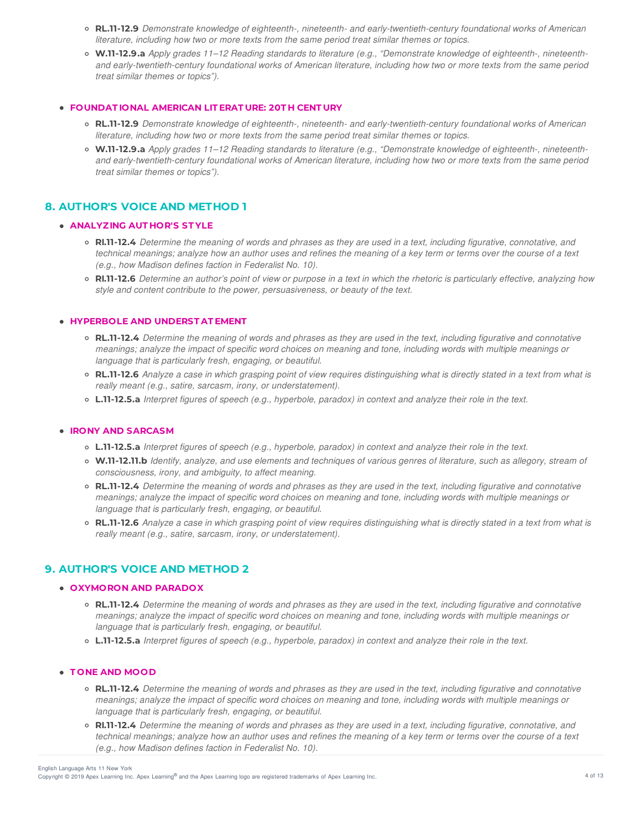- **RL.11-12.9** *Demonstrate knowledge of eighteenth-, nineteenth- and early-twentieth-century foundational works of American literature, including how two or more texts from the same period treat similar themes or topics.*
- **W.11-12.9.a** *Apply grades 11–12 Reading standards to literature (e.g., "Demonstrate knowledge of eighteenth-, nineteenth*and early-twentieth-century foundational works of American literature, including how two or more texts from the same period *treat similar themes or topics").*

#### **FOUNDAT IONAL AMERICAN LIT ERAT URE: 20T H CENT URY**

- **RL.11-12.9** *Demonstrate knowledge of eighteenth-, nineteenth- and early-twentieth-century foundational works of American literature, including how two or more texts from the same period treat similar themes or topics.*
- **W.11-12.9.a** *Apply grades 11–12 Reading standards to literature (e.g., "Demonstrate knowledge of eighteenth-, nineteenth*and early-twentieth-century foundational works of American literature, including how two or more texts from the same period *treat similar themes or topics").*

## **8. AUTHOR'S VOICE AND METHOD 1**

## **ANALYZING AUT HOR'S ST YLE**

- o RI.11-12.4 Determine the meaning of words and phrases as they are used in a text, including figurative, connotative, and technical meanings; analyze how an author uses and refines the meaning of a key term or terms over the course of a text *(e.g., how Madison defines faction in Federalist No. 10).*
- RI.11-12.6 Determine an author's point of view or purpose in a text in which the rhetoric is particularly effective, analyzing how *style and content contribute to the power, persuasiveness, or beauty of the text.*

#### **HYPERBOLE AND UNDERST AT EMENT**

- RL.11-12.4 Determine the meaning of words and phrases as they are used in the text, including figurative and connotative meanings; analyze the impact of specific word choices on meaning and tone, including words with multiple meanings or *language that is particularly fresh, engaging, or beautiful.*
- RL.11-12.6 Analyze a case in which grasping point of view requires distinguishing what is directly stated in a text from what is *really meant (e.g., satire, sarcasm, irony, or understatement).*
- o L.11-12.5.a Interpret figures of speech (e.g., hyperbole, paradox) in context and analyze their role in the text.

#### **IRONY AND SARCASM**

- L.11-12.5.a Interpret figures of speech (e.g., hyperbole, paradox) in context and analyze their role in the text.
- o W.11-12.11.b Identify, analyze, and use elements and techniques of various genres of literature, such as allegory, stream of *consciousness, irony, and ambiguity, to affect meaning.*
- o RL.11-12.4 Determine the meaning of words and phrases as they are used in the text, including figurative and connotative meanings; analyze the impact of specific word choices on meaning and tone, including words with multiple meanings or *language that is particularly fresh, engaging, or beautiful.*
- RL.11-12.6 Analyze a case in which grasping point of view requires distinguishing what is directly stated in a text from what is *really meant (e.g., satire, sarcasm, irony, or understatement).*

## **9. AUTHOR'S VOICE AND METHOD 2**

### **OXYMORON AND PARADOX**

- o RL.11-12.4 Determine the meaning of words and phrases as they are used in the text, including figurative and connotative meanings; analyze the impact of specific word choices on meaning and tone, including words with multiple meanings or *language that is particularly fresh, engaging, or beautiful.*
- o L.11-12.5.a Interpret figures of speech (e.g., hyperbole, paradox) in context and analyze their role in the text.

#### **T ONE AND MOOD**

- o RL.11-12.4 Determine the meaning of words and phrases as they are used in the text, including figurative and connotative meanings; analyze the impact of specific word choices on meaning and tone, including words with multiple meanings or *language that is particularly fresh, engaging, or beautiful.*
- o RI.11-12.4 Determine the meaning of words and phrases as they are used in a text, including figurative, connotative, and technical meanings; analyze how an author uses and refines the meaning of a key term or terms over the course of a text *(e.g., how Madison defines faction in Federalist No. 10).*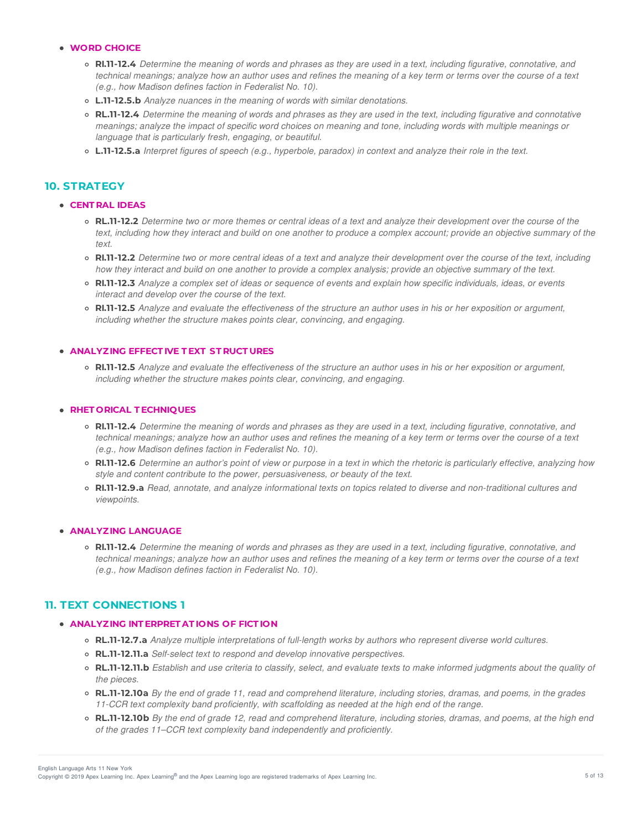### **WORD CHOICE**

- RI.11-12.4 Determine the meaning of words and phrases as they are used in a text, including figurative, connotative, and technical meanings; analyze how an author uses and refines the meaning of a key term or terms over the course of a text *(e.g., how Madison defines faction in Federalist No. 10).*
- **L.11-12.5.b** *Analyze nuances in the meaning of words with similar denotations.*
- o RL.11-12.4 Determine the meaning of words and phrases as they are used in the text, including figurative and connotative meanings; analyze the impact of specific word choices on meaning and tone, including words with multiple meanings or *language that is particularly fresh, engaging, or beautiful.*
- o L.11-12.5.a Interpret figures of speech (e.g., hyperbole, paradox) in context and analyze their role in the text.

## **10. STRATEGY**

### **CENT RAL IDEAS**

- **RL.11-12.2** Determine two or more themes or central ideas of a text and analyze their development over the course of the text, including how they interact and build on one another to produce a complex account; provide an objective summary of the *text.*
- RI.11-12.2 Determine two or more central ideas of a text and analyze their development over the course of the text, including how they interact and build on one another to provide a complex analysis; provide an objective summary of the text.
- RI.11-12.3 Analyze a complex set of ideas or sequence of events and explain how specific individuals, ideas, or events *interact and develop over the course of the text.*
- RI.11-12.5 Analyze and evaluate the effectiveness of the structure an author uses in his or her exposition or argument, *including whether the structure makes points clear, convincing, and engaging.*

### **ANALYZING EFFECT IVE T EXT ST RUCT URES**

• RI.11-12.5 Analyze and evaluate the effectiveness of the structure an author uses in his or her exposition or argument. *including whether the structure makes points clear, convincing, and engaging.*

### **RHET ORICAL T ECHNIQUES**

- o RI.11-12.4 Determine the meaning of words and phrases as they are used in a text, including figurative, connotative, and technical meanings; analyze how an author uses and refines the meaning of a key term or terms over the course of a text *(e.g., how Madison defines faction in Federalist No. 10).*
- RI.11-12.6 Determine an author's point of view or purpose in a text in which the rhetoric is particularly effective, analyzing how *style and content contribute to the power, persuasiveness, or beauty of the text.*
- o RI.11-12.9.a Read, annotate, and analyze informational texts on topics related to diverse and non-traditional cultures and *viewpoints.*

#### **ANALYZING LANGUAGE**

• RI.11-12.4 Determine the meaning of words and phrases as they are used in a text, including figurative, connotative, and technical meanings; analyze how an author uses and refines the meaning of a key term or terms over the course of a text *(e.g., how Madison defines faction in Federalist No. 10).*

# **11. TEXT CONNECTIONS 1**

### **ANALYZING INT ERPRET AT IONS OF FICT ION**

- **RL.11-12.7.a** *Analyze multiple interpretations of full-length works by authors who represent diverse world cultures.*
- **RL.11-12.11.a** *Self-select text to respond and develop innovative perspectives.*
- o RL.11-12.11.b Establish and use criteria to classify, select, and evaluate texts to make informed judgments about the quality of *the pieces.*
- **RL.11-12.10a** By the end of grade 11, read and comprehend literature, including stories, dramas, and poems, in the grades *11-CCR text complexity band proficiently, with scaffolding as needed at the high end of the range.*
- **RL.11-12.10b** By the end of grade 12, read and comprehend literature, including stories, dramas, and poems, at the high end *of the grades 11–CCR text complexity band independently and proficiently.*

English Language Arts 11 New York

Copyright © 2019 Apex Learning Inc. Apex Learning® and the Apex Learning logo are registered trademarks of Apex Learning Inc. **The Apparent Constant Constant Constant Constant Constant Constant Constant Constant Constant C**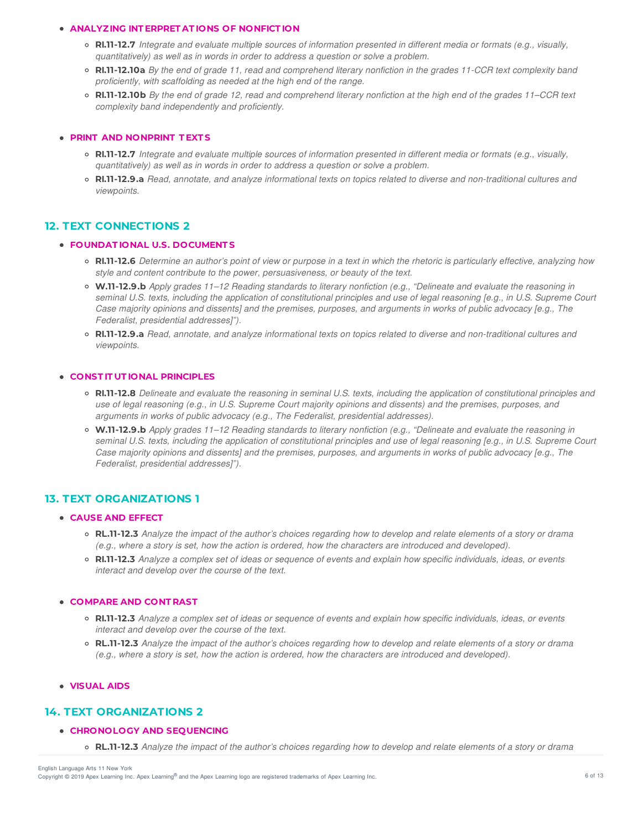#### **ANALYZING INT ERPRET AT IONS OF NONFICT ION**

- RIJ1-12.7 Integrate and evaluate multiple sources of information presented in different media or formats (e.g., visually, *quantitatively) as well as in words in order to address a question or solve a problem.*
- RI.11-12.10a By the end of grade 11, read and comprehend literary nonfiction in the grades 11-CCR text complexity band *proficiently, with scaffolding as needed at the high end of the range.*
- RI.11-12.10b By the end of grade 12, read and comprehend literary nonfiction at the high end of the grades 11–CCR text *complexity band independently and proficiently.*

### **PRINT AND NONPRINT T EXT S**

- RI.11-12.7 Integrate and evaluate multiple sources of information presented in different media or formats (e.g., visually, *quantitatively) as well as in words in order to address a question or solve a problem.*
- o RI.11-12.9.a Read, annotate, and analyze informational texts on topics related to diverse and non-traditional cultures and *viewpoints.*

# **12. TEXT CONNECTIONS 2**

#### **FOUNDAT IONAL U.S. DOCUMENT S**

- RI.11-12.6 Determine an author's point of view or purpose in a text in which the rhetoric is particularly effective, analyzing how *style and content contribute to the power, persuasiveness, or beauty of the text.*
- o W.11-12.9.b Apply grades 11-12 Reading standards to literary nonfiction (e.g., "Delineate and evaluate the reasoning in seminal U.S. texts, including the application of constitutional principles and use of legal reasoning [e.g., in U.S. Supreme Court Case majority opinions and dissents] and the premises, purposes, and arguments in works of public advocacy [e.g., The *Federalist, presidential addresses]").*
- o RI.11-12.9.a Read, annotate, and analyze informational texts on topics related to diverse and non-traditional cultures and *viewpoints.*

#### **CONST IT UT IONAL PRINCIPLES**

- RI.11-12.8 Delineate and evaluate the reasoning in seminal U.S. texts, including the application of constitutional principles and use of legal reasoning (e.g., in U.S. Supreme Court majority opinions and dissents) and the premises, purposes, and *arguments in works of public advocacy (e.g., The Federalist, presidential addresses).*
- o W.11-12.9.b Apply grades 11-12 Reading standards to literary nonfiction (e.g., "Delineate and evaluate the reasoning in seminal U.S. texts, including the application of constitutional principles and use of legal reasoning [e.g., in U.S. Supreme Court Case majority opinions and dissents] and the premises, purposes, and arguments in works of public advocacy [e.g., The *Federalist, presidential addresses]").*

# **13. TEXT ORGANIZATIONS 1**

### **CAUSE AND EFFECT**

- **RL.11-12.3** Analyze the impact of the author's choices regarding how to develop and relate elements of a story or drama (e.g., where a story is set, how the action is ordered, how the characters are introduced and developed).
- RI.11-12.3 Analyze a complex set of ideas or sequence of events and explain how specific individuals, ideas, or events *interact and develop over the course of the text.*

### **COMPARE AND CONT RAST**

- o RI.11-12.3 Analyze a complex set of ideas or sequence of events and explain how specific individuals, ideas, or events *interact and develop over the course of the text.*
- RL.11-12.3 Analyze the impact of the author's choices regarding how to develop and relate elements of a story or drama (e.g., where a story is set, how the action is ordered, how the characters are introduced and developed).

## **VISUAL AIDS**

## **14. TEXT ORGANIZATIONS 2**

### **CHRONOLOGY AND SEQUENCING**

• RL.11-12.3 Analyze the impact of the author's choices regarding how to develop and relate elements of a story or drama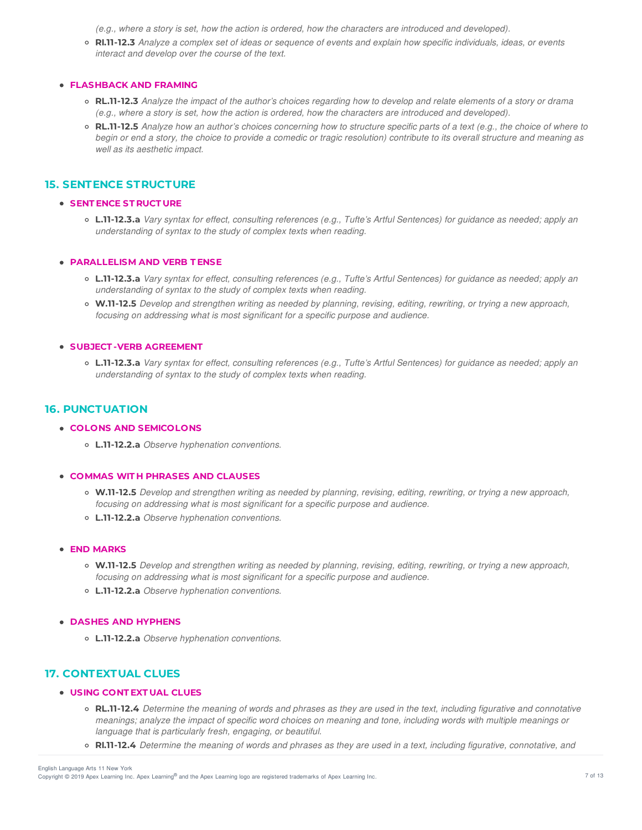(e.g., where a story is set, how the action is ordered, how the characters are introduced and developed).

o RI.11-12.3 Analyze a complex set of ideas or sequence of events and explain how specific individuals, ideas, or events *interact and develop over the course of the text.*

#### **FLASHBACK AND FRAMING**

- RL.11-12.3 Analyze the impact of the author's choices regarding how to develop and relate elements of a story or drama (e.g., where a story is set, how the action is ordered, how the characters are introduced and developed).
- o RL.11-12.5 Analyze how an author's choices concerning how to structure specific parts of a text (e.g., the choice of where to begin or end a story, the choice to provide a comedic or tragic resolution) contribute to its overall structure and meaning as *well as its aesthetic impact.*

## **15. SENTENCE STRUCTURE**

### **SENT ENCE ST RUCT URE**

o L.11-12.3.a Vary syntax for effect, consulting references (e.g., Tufte's Artful Sentences) for guidance as needed; apply an *understanding of syntax to the study of complex texts when reading.*

### **PARALLELISM AND VERB T ENSE**

- o L.11-12.3.a Vary syntax for effect, consulting references (e.g., Tufte's Artful Sentences) for guidance as needed; apply an *understanding of syntax to the study of complex texts when reading.*
- o W.11-12.5 Develop and strengthen writing as needed by planning, revising, editing, rewriting, or trying a new approach, *focusing on addressing what is most significant for a specific purpose and audience.*

#### **SUBJECT -VERB AGREEMENT**

o L.11-12.3.a Vary syntax for effect, consulting references (e.g., Tufte's Artful Sentences) for guidance as needed; apply an *understanding of syntax to the study of complex texts when reading.*

## **16. PUNCTUATION**

- **COLONS AND SEMICOLONS**
	- **L.11-12.2.a** *Observe hyphenation conventions.*

#### **COMMAS WIT H PHRASES AND CLAUSES**

- o W.11-12.5 Develop and strengthen writing as needed by planning, revising, editing, rewriting, or trying a new approach, *focusing on addressing what is most significant for a specific purpose and audience.*
- **L.11-12.2.a** *Observe hyphenation conventions.*

### **END MARKS**

- o W.11-12.5 Develop and strengthen writing as needed by planning, revising, editing, rewriting, or trying a new approach, *focusing on addressing what is most significant for a specific purpose and audience.*
- **L.11-12.2.a** *Observe hyphenation conventions.*

### **DASHES AND HYPHENS**

**L.11-12.2.a** *Observe hyphenation conventions.*

# **17. CONTEXTUAL CLUES**

- **USING CONT EXT UAL CLUES**
	- RL.11-12.4 Determine the meaning of words and phrases as they are used in the text, including figurative and connotative meanings; analyze the impact of specific word choices on meaning and tone, including words with multiple meanings or *language that is particularly fresh, engaging, or beautiful.*
	- RI.11-12.4 Determine the meaning of words and phrases as they are used in a text, including figurative, connotative, and

Copyright © 2019 Apex Learning Inc. Apex Learning® and the Apex Learning logo are registered trademarks of Apex Learning Inc. The Management Computer of the Apex Learning Inc. English Language Arts 11 New York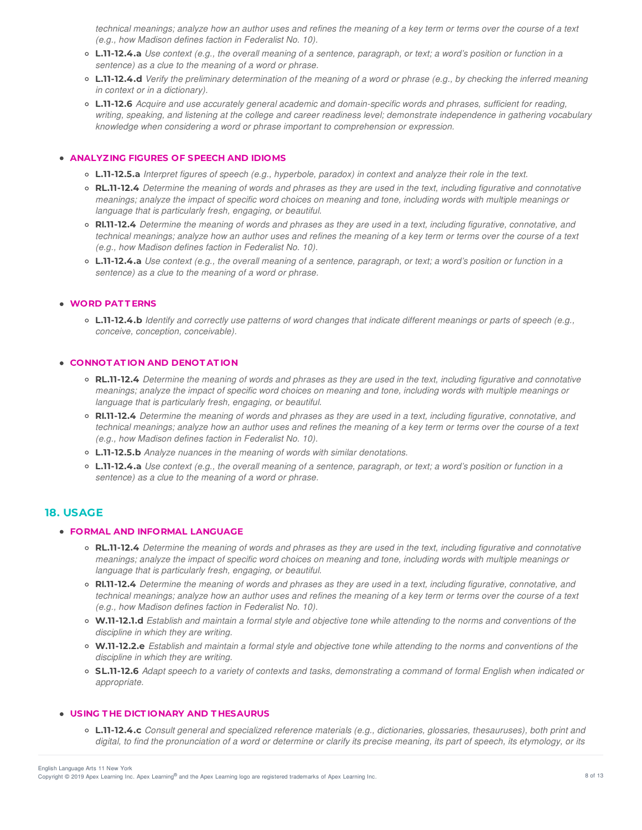technical meanings; analyze how an author uses and refines the meaning of a key term or terms over the course of a text *(e.g., how Madison defines faction in Federalist No. 10).*

- L.11-12.4.a Use context (e.g., the overall meaning of a sentence, paragraph, or text; a word's position or function in a *sentence) as a clue to the meaning of a word or phrase.*
- L.11-12.4.d Verify the preliminary determination of the meaning of a word or phrase (e.g., by checking the inferred meaning *in context or in a dictionary).*
- **L.11-12.6** *Acquire and use accurately general academic and domain-specific words and phrases, sufficient for reading,* writing, speaking, and listening at the college and career readiness level; demonstrate independence in gathering vocabulary *knowledge when considering a word or phrase important to comprehension or expression.*

#### **ANALYZING FIGURES OF SPEECH AND IDIOMS**

- o L.11-12.5.a Interpret figures of speech (e.g., hyperbole, paradox) in context and analyze their role in the text.
- **RL.11-12.4** Determine the meaning of words and phrases as they are used in the text, including figurative and connotative meanings; analyze the impact of specific word choices on meaning and tone, including words with multiple meanings or *language that is particularly fresh, engaging, or beautiful.*
- RI.11-12.4 Determine the meaning of words and phrases as they are used in a text, including figurative, connotative, and technical meanings; analyze how an author uses and refines the meaning of a key term or terms over the course of a text *(e.g., how Madison defines faction in Federalist No. 10).*
- L.11-12.4.a Use context (e.g., the overall meaning of a sentence, paragraph, or text; a word's position or function in a *sentence) as a clue to the meaning of a word or phrase.*

#### **WORD PAT T ERNS**

○ **L.11-12.4.b** Identify and correctly use patterns of word changes that indicate different meanings or parts of speech (e.g., *conceive, conception, conceivable).*

### **CONNOT AT ION AND DENOT AT ION**

- o RL.11-12.4 Determine the meaning of words and phrases as they are used in the text, including figurative and connotative meanings; analyze the impact of specific word choices on meaning and tone, including words with multiple meanings or *language that is particularly fresh, engaging, or beautiful.*
- RI.11-12.4 Determine the meaning of words and phrases as they are used in a text, including figurative, connotative, and technical meanings; analyze how an author uses and refines the meaning of a key term or terms over the course of a text *(e.g., how Madison defines faction in Federalist No. 10).*
- **L.11-12.5.b** *Analyze nuances in the meaning of words with similar denotations.*
- o L.11-12.4.a Use context (e.g., the overall meaning of a sentence, paragraph, or text; a word's position or function in a *sentence) as a clue to the meaning of a word or phrase.*

## **18. USAGE**

#### **FORMAL AND INFORMAL LANGUAGE**

- o RL.11-12.4 Determine the meaning of words and phrases as they are used in the text, including figurative and connotative meanings; analyze the impact of specific word choices on meaning and tone, including words with multiple meanings or *language that is particularly fresh, engaging, or beautiful.*
- RI.11-12.4 Determine the meaning of words and phrases as they are used in a text, including figurative, connotative, and technical meanings; analyze how an author uses and refines the meaning of a key term or terms over the course of a text *(e.g., how Madison defines faction in Federalist No. 10).*
- o W.11-12.1.d Establish and maintain a formal style and objective tone while attending to the norms and conventions of the *discipline in which they are writing.*
- o W.11-12.2.e Establish and maintain a formal style and objective tone while attending to the norms and conventions of the *discipline in which they are writing.*
- SL.11-12.6 Adapt speech to a variety of contexts and tasks, demonstrating a command of formal English when indicated or *appropriate.*

### **USING T HE DICT IONARY AND T HESAURUS**

**L.11-12.4.c** *Consult general and specialized reference materials (e.g., dictionaries, glossaries, thesauruses), both print and* digital, to find the pronunciation of a word or determine or clarify its precise meaning, its part of speech, its etymology, or its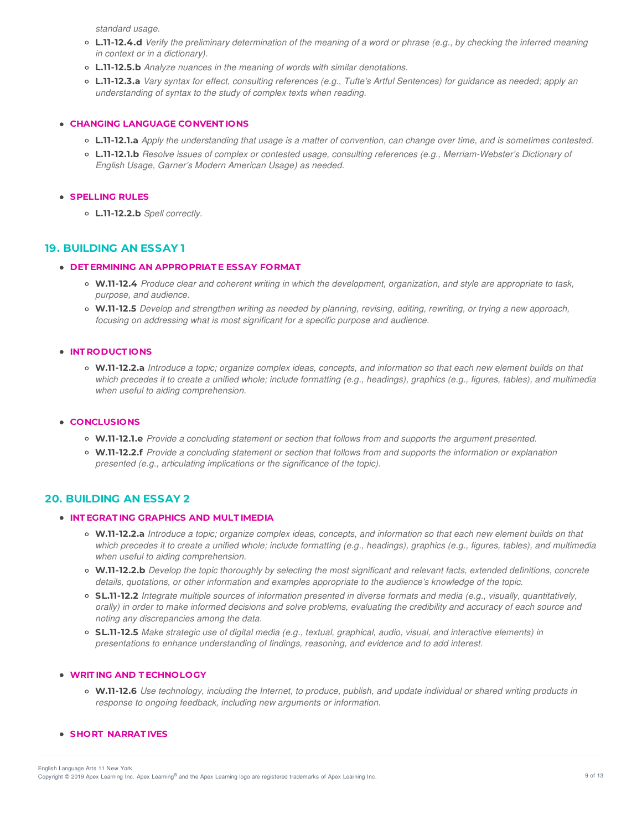*standard usage.*

- L.11-12.4.d Verify the preliminary determination of the meaning of a word or phrase (e.g., by checking the inferred meaning *in context or in a dictionary).*
- **L.11-12.5.b** *Analyze nuances in the meaning of words with similar denotations.*
- o L.11-12.3.a Vary syntax for effect, consulting references (e.g., Tufte's Artful Sentences) for quidance as needed; apply an *understanding of syntax to the study of complex texts when reading.*

### **CHANGING LANGUAGE CONVENT IONS**

- L.11-12.1.a Apply the understanding that usage is a matter of convention, can change over time, and is sometimes contested.
- **L.11-12.1.b** *Resolve issues of complex or contested usage, consulting references (e.g., Merriam-Webster's Dictionary of English Usage, Garner's Modern American Usage) as needed.*

### **SPELLING RULES**

**L.11-12.2.b** *Spell correctly.*

## **19. BUILDING AN ESSAY 1**

### **DET ERMINING AN APPROPRIAT E ESSAY FORMAT**

- W.11-12.4 Produce clear and coherent writing in which the development, organization, and style are appropriate to task, *purpose, and audience.*
- W.11-12.5 Develop and strengthen writing as needed by planning, revising, editing, rewriting, or trying a new approach, *focusing on addressing what is most significant for a specific purpose and audience.*

### **INT RODUCT IONS**

o W.11-12.2.a Introduce a topic; organize complex ideas, concepts, and information so that each new element builds on that which precedes it to create a unified whole; include formatting (e.g., headings), graphics (e.g., figures, tables), and multimedia *when useful to aiding comprehension.*

### **CONCLUSIONS**

- **W.11-12.1.e** *Provide a concluding statement or section that follows from and supports the argument presented.*
- W.11-12.2.f Provide a concluding statement or section that follows from and supports the information or explanation *presented (e.g., articulating implications or the significance of the topic).*

## **20. BUILDING AN ESSAY 2**

### **INT EGRAT ING GRAPHICS AND MULT IMEDIA**

- o W.11-12.2.a Introduce a topic; organize complex ideas, concepts, and information so that each new element builds on that which precedes it to create a unified whole; include formatting (e.g., headings), graphics (e.g., figures, tables), and multimedia *when useful to aiding comprehension.*
- o W.11-12.2.b Develop the topic thoroughly by selecting the most significant and relevant facts, extended definitions, concrete *details, quotations, or other information and examples appropriate to the audience's knowledge of the topic.*
- SL.11-12.2 Integrate multiple sources of information presented in diverse formats and media (e.g., visually, quantitatively, orally) in order to make informed decisions and solve problems, evaluating the credibility and accuracy of each source and *noting any discrepancies among the data.*
- o SL.11-12.5 Make strategic use of digital media (e.g., textual, graphical, audio, visual, and interactive elements) in *presentations to enhance understanding of findings, reasoning, and evidence and to add interest.*

## **WRIT ING AND T ECHNOLOGY**

o W.11-12.6 Use technology, including the Internet, to produce, publish, and update individual or shared writing products in *response to ongoing feedback, including new arguments or information.*

## **SHORT NARRAT IVES**

Copyright © 2019 Apex Learning Inc. Apex Learning® and the Apex Learning logo are registered trademarks of Apex Learning Inc. <br>Copyright © 2019 Apex Learning Inc. Apex Learning® and the Apex Learning Iogo are registered tr English Language Arts 11 New York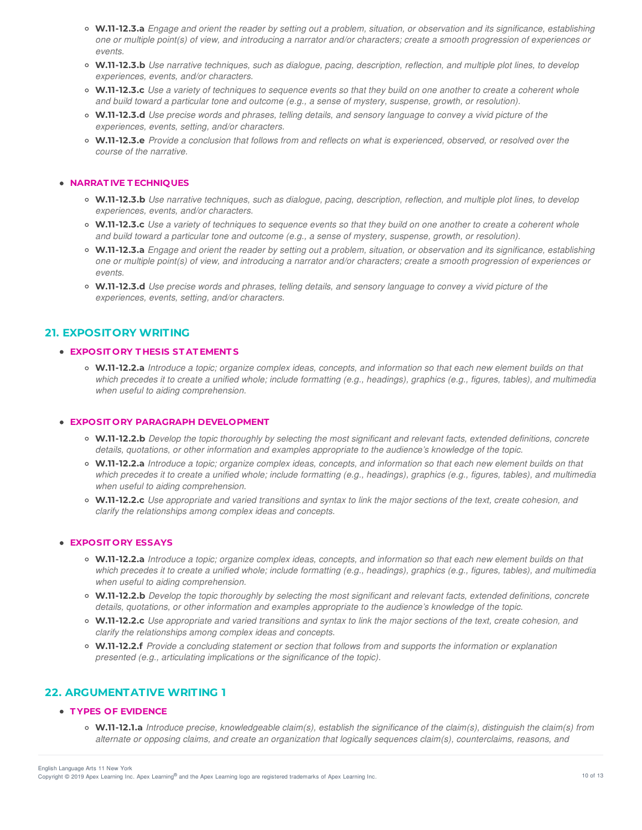- W.11-12.3.a Engage and orient the reader by setting out a problem, situation, or observation and its significance, establishing one or multiple point(s) of view, and introducing a narrator and/or characters; create a smooth progression of experiences or *events.*
- o W.11-12.3.b Use narrative techniques, such as dialogue, pacing, description, reflection, and multiple plot lines, to develop *experiences, events, and/or characters.*
- o W.11-12.3.c Use a variety of techniques to sequence events so that they build on one another to create a coherent whole and build toward a particular tone and outcome (e.g., a sense of mystery, suspense, growth, or resolution).
- o W.11-12.3.d Use precise words and phrases, telling details, and sensory language to convey a vivid picture of the *experiences, events, setting, and/or characters.*
- o W.11-12.3.e Provide a conclusion that follows from and reflects on what is experienced, observed, or resolved over the *course of the narrative.*

#### **NARRAT IVE T ECHNIQUES**

- W.11-12.3.b Use narrative techniques, such as dialoque, pacing, description, reflection, and multiple plot lines, to develop *experiences, events, and/or characters.*
- W.11-12.3.c Use a variety of techniques to sequence events so that they build on one another to create a coherent whole and build toward a particular tone and outcome (e.g., a sense of mystery, suspense, growth, or resolution).
- W.11-12.3.a Engage and orient the reader by setting out a problem, situation, or observation and its significance, establishing one or multiple point(s) of view, and introducing a narrator and/or characters; create a smooth progression of experiences or *events.*
- o W.11-12.3.d Use precise words and phrases, telling details, and sensory language to convey a vivid picture of the *experiences, events, setting, and/or characters.*

### **21. EXPOSITORY WRITING**

#### **EXPOSIT ORY T HESIS ST AT EMENT S**

o W.11-12.2.a Introduce a topic; organize complex ideas, concepts, and information so that each new element builds on that which precedes it to create a unified whole; include formatting (e.g., headings), graphics (e.g., figures, tables), and multimedia *when useful to aiding comprehension.*

#### **EXPOSIT ORY PARAGRAPH DEVELOPMENT**

- o W.11-12.2.b Develop the topic thoroughly by selecting the most significant and relevant facts, extended definitions, concrete *details, quotations, or other information and examples appropriate to the audience's knowledge of the topic.*
- o W.11-12.2.a Introduce a topic; organize complex ideas, concepts, and information so that each new element builds on that which precedes it to create a unified whole; include formatting (e.g., headings), graphics (e.g., figures, tables), and multimedia *when useful to aiding comprehension.*
- W.11-12.2.c Use appropriate and varied transitions and syntax to link the major sections of the text, create cohesion, and *clarify the relationships among complex ideas and concepts.*

### **EXPOSIT ORY ESSAYS**

- o W.11-12.2.a Introduce a topic; organize complex ideas, concepts, and information so that each new element builds on that which precedes it to create a unified whole; include formatting (e.g., headings), graphics (e.g., figures, tables), and multimedia *when useful to aiding comprehension.*
- o W.11-12.2.b Develop the topic thoroughly by selecting the most significant and relevant facts, extended definitions, concrete *details, quotations, or other information and examples appropriate to the audience's knowledge of the topic.*
- W.11-12.2.c Use appropriate and varied transitions and syntax to link the major sections of the text, create cohesion, and *clarify the relationships among complex ideas and concepts.*
- o W.11-12.2.f Provide a concluding statement or section that follows from and supports the information or explanation *presented (e.g., articulating implications or the significance of the topic).*

# **22. ARGUMENTATIVE WRITING 1**

#### **T YPES OF EVIDENCE**

 $\circ$  W.11-12.1.a Introduce precise, knowledgeable claim(s), establish the significance of the claim(s), distinguish the claim(s) from *alternate or opposing claims, and create an organization that logically sequences claim(s), counterclaims, reasons, and*

Copyright © 2019 Apex Learning Inc. Apex Learning® and the Apex Learning logo are registered trademarks of Apex Learning Inc. 40 and the Apex Learning Inc. English Language Arts 11 New York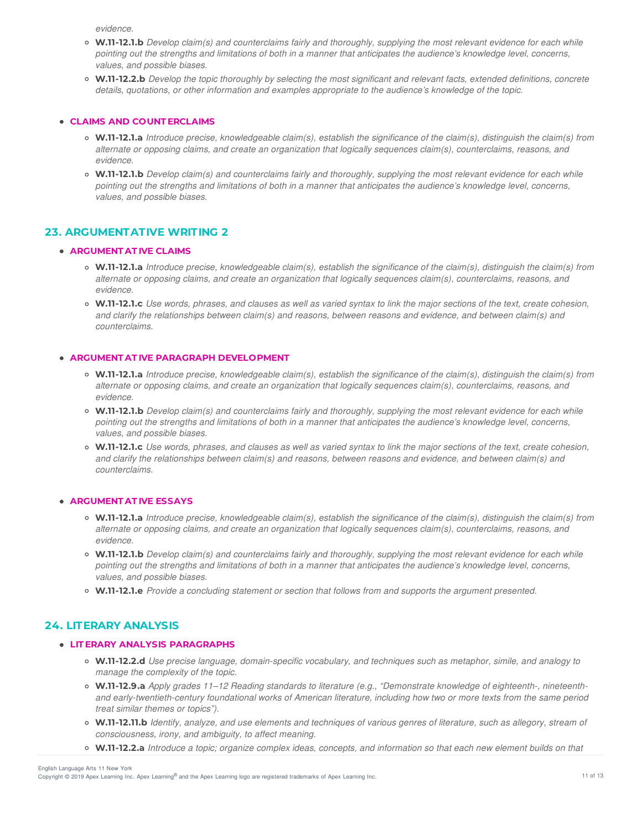*evidence.*

- W.11-12.1.b Develop claim(s) and counterclaims fairly and thoroughly, supplying the most relevant evidence for each while pointing out the strengths and limitations of both in a manner that anticipates the audience's knowledge level, concerns, *values, and possible biases.*
- o W.11-12.2.b Develop the topic thoroughly by selecting the most significant and relevant facts, extended definitions, concrete *details, quotations, or other information and examples appropriate to the audience's knowledge of the topic.*

### **CLAIMS AND COUNT ERCLAIMS**

- o W.11-12.1.a Introduce precise, knowledgeable claim(s), establish the significance of the claim(s), distinguish the claim(s) from *alternate or opposing claims, and create an organization that logically sequences claim(s), counterclaims, reasons, and evidence.*
- W.11-12.1.b Develop claim(s) and counterclaims fairly and thoroughly, supplying the most relevant evidence for each while pointing out the strengths and limitations of both in a manner that anticipates the audience's knowledge level, concerns, *values, and possible biases.*

## **23. ARGUMENTATIVE WRITING 2**

#### **ARGUMENT AT IVE CLAIMS**

- $\circ$  W.11-12.1.a Introduce precise, knowledgeable claim(s), establish the significance of the claim(s), distinguish the claim(s) from *alternate or opposing claims, and create an organization that logically sequences claim(s), counterclaims, reasons, and evidence.*
- o W.11-12.1.c Use words, phrases, and clauses as well as varied syntax to link the major sections of the text, create cohesion, and clarify the relationships between claim(s) and reasons, between reasons and evidence, and between claim(s) and *counterclaims.*

### **ARGUMENT AT IVE PARAGRAPH DEVELOPMENT**

- $\circ$  W.11-12.1.a Introduce precise, knowledgeable claim(s), establish the significance of the claim(s), distinguish the claim(s) from *alternate or opposing claims, and create an organization that logically sequences claim(s), counterclaims, reasons, and evidence.*
- o W.11-12.1.b Develop claim(s) and counterclaims fairly and thoroughly, supplying the most relevant evidence for each while pointing out the strengths and limitations of both in a manner that anticipates the audience's knowledge level, concerns, *values, and possible biases.*
- o W.11-12.1.c Use words, phrases, and clauses as well as varied syntax to link the major sections of the text, create cohesion, and clarify the relationships between claim(s) and reasons, between reasons and evidence, and between claim(s) and *counterclaims.*

#### **ARGUMENT AT IVE ESSAYS**

- o W.11-12.1.a Introduce precise, knowledgeable claim(s), establish the significance of the claim(s), distinguish the claim(s) from *alternate or opposing claims, and create an organization that logically sequences claim(s), counterclaims, reasons, and evidence.*
- o W.11-12.1.b Develop claim(s) and counterclaims fairly and thoroughly, supplying the most relevant evidence for each while pointing out the strengths and limitations of both in a manner that anticipates the audience's knowledge level, concerns, *values, and possible biases.*
- **W.11-12.1.e** *Provide a concluding statement or section that follows from and supports the argument presented.*

## **24. LITERARY ANALYSIS**

#### **LIT ERARY ANALYSIS PARAGRAPHS**

- **W.11-12.2.d** *Use precise language, domain-specific vocabulary, and techniques such as metaphor, simile, and analogy to manage the complexity of the topic.*
- **W.11-12.9.a** *Apply grades 11–12 Reading standards to literature (e.g., "Demonstrate knowledge of eighteenth-, nineteenth*and early-twentieth-century foundational works of American literature, including how two or more texts from the same period *treat similar themes or topics").*
- o W.11-12.11.b Identify, analyze, and use elements and techniques of various genres of literature, such as allegory, stream of *consciousness, irony, and ambiguity, to affect meaning.*
- o W.11-12.2.a Introduce a topic: organize complex ideas, concepts, and information so that each new element builds on that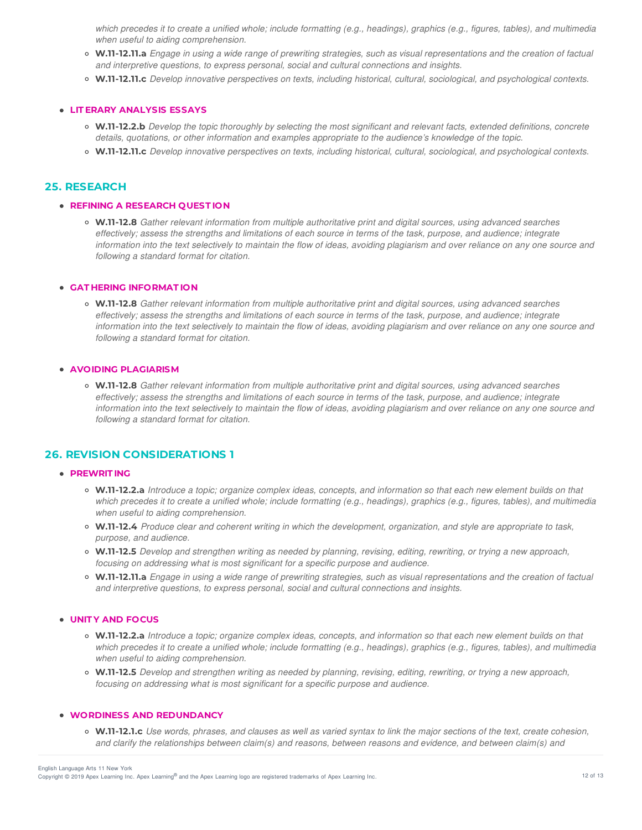which precedes it to create a unified whole; include formatting (e.g., headings), graphics (e.g., figures, tables), and multimedia *when useful to aiding comprehension.*

- o W.11-12.11.a Engage in using a wide range of prewriting strategies, such as visual representations and the creation of factual *and interpretive questions, to express personal, social and cultural connections and insights.*
- **W.11-12.11.c** *Develop innovative perspectives on texts, including historical, cultural, sociological, and psychological contexts.*

#### **LIT ERARY ANALYSIS ESSAYS**

- o W.11-12.2.b Develop the topic thoroughly by selecting the most significant and relevant facts, extended definitions, concrete *details, quotations, or other information and examples appropriate to the audience's knowledge of the topic.*
- **W.11-12.11.c** *Develop innovative perspectives on texts, including historical, cultural, sociological, and psychological contexts.*

## **25. RESEARCH**

#### **REFINING A RESEARCH QUEST ION**

**W.11-12.8** *Gather relevant information from multiple authoritative print and digital sources, using advanced searches* effectively; assess the strengths and limitations of each source in terms of the task, purpose, and audience; integrate information into the text selectively to maintain the flow of ideas, avoiding plagiarism and over reliance on any one source and *following a standard format for citation.*

#### **GAT HERING INFORMAT ION**

**W.11-12.8** *Gather relevant information from multiple authoritative print and digital sources, using advanced searches* effectively; assess the strengths and limitations of each source in terms of the task, purpose, and audience; integrate information into the text selectively to maintain the flow of ideas, avoiding plagiarism and over reliance on any one source and *following a standard format for citation.*

#### **AVOIDING PLAGIARISM**

**W.11-12.8** *Gather relevant information from multiple authoritative print and digital sources, using advanced searches* effectively; assess the strengths and limitations of each source in terms of the task, purpose, and audience; integrate information into the text selectively to maintain the flow of ideas, avoiding plagiarism and over reliance on any one source and *following a standard format for citation.*

## **26. REVISION CONSIDERATIONS 1**

#### **PREWRIT ING**

- o W.11-12.2.a Introduce a topic; organize complex ideas, concepts, and information so that each new element builds on that which precedes it to create a unified whole; include formatting (e.g., headings), graphics (e.g., figures, tables), and multimedia *when useful to aiding comprehension.*
- W.11-12.4 Produce clear and coherent writing in which the development, organization, and style are appropriate to task, *purpose, and audience.*
- o W.11-12.5 Develop and strengthen writing as needed by planning, revising, editing, rewriting, or trying a new approach, *focusing on addressing what is most significant for a specific purpose and audience.*
- o W.11-12.11.a Engage in using a wide range of prewriting strategies, such as visual representations and the creation of factual *and interpretive questions, to express personal, social and cultural connections and insights.*

#### **UNIT Y AND FOCUS**

- o W.11-12.2.a Introduce a topic; organize complex ideas, concepts, and information so that each new element builds on that which precedes it to create a unified whole; include formatting (e.g., headings), graphics (e.g., figures, tables), and multimedia *when useful to aiding comprehension.*
- W.11-12.5 Develop and strengthen writing as needed by planning, revising, editing, rewriting, or trying a new approach, *focusing on addressing what is most significant for a specific purpose and audience.*

### **WORDINESS AND REDUNDANCY**

o W.11-12.1.c Use words, phrases, and clauses as well as varied syntax to link the major sections of the text, create cohesion, and clarify the relationships between claim(s) and reasons, between reasons and evidence, and between claim(s) and